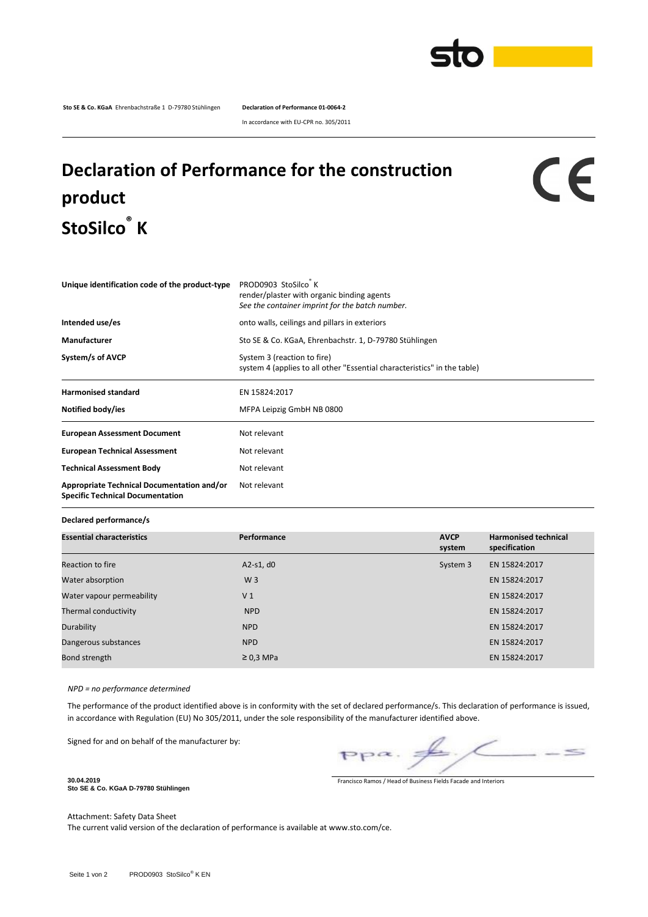

**Sto SE & Co. KGaA** Ehrenbachstraße 1 D-79780 Stühlingen **Declaration of Performance 01-0064-2**

In accordance with EU-CPR no. 305/2011

## **Declaration of Performance for the construction product StoSilco® K**

## CE

| Unique identification code of the product-type                                        | PROD0903 StoSilco K<br>render/plaster with organic binding agents<br>See the container imprint for the batch number. |  |  |
|---------------------------------------------------------------------------------------|----------------------------------------------------------------------------------------------------------------------|--|--|
| Intended use/es                                                                       | onto walls, ceilings and pillars in exteriors                                                                        |  |  |
| Manufacturer                                                                          | Sto SE & Co. KGaA, Ehrenbachstr. 1, D-79780 Stühlingen                                                               |  |  |
| System/s of AVCP                                                                      | System 3 (reaction to fire)<br>system 4 (applies to all other "Essential characteristics" in the table)              |  |  |
| <b>Harmonised standard</b><br>Notified body/ies                                       | EN 15824:2017<br>MFPA Leipzig GmbH NB 0800                                                                           |  |  |
| <b>European Assessment Document</b>                                                   | Not relevant                                                                                                         |  |  |
| <b>European Technical Assessment</b>                                                  | Not relevant                                                                                                         |  |  |
| <b>Technical Assessment Body</b>                                                      | Not relevant                                                                                                         |  |  |
| Appropriate Technical Documentation and/or<br><b>Specific Technical Documentation</b> | Not relevant                                                                                                         |  |  |

**Declared performance/s**

| <b>Essential characteristics</b> | Performance    | <b>AVCP</b><br>system | <b>Harmonised technical</b><br>specification |
|----------------------------------|----------------|-----------------------|----------------------------------------------|
| Reaction to fire                 | A2-s1, $d0$    | System 3              | EN 15824:2017                                |
| Water absorption                 | W <sub>3</sub> |                       | EN 15824:2017                                |
| Water vapour permeability        | V <sub>1</sub> |                       | EN 15824:2017                                |
| Thermal conductivity             | <b>NPD</b>     |                       | EN 15824:2017                                |
| Durability                       | <b>NPD</b>     |                       | EN 15824:2017                                |
| Dangerous substances             | <b>NPD</b>     |                       | EN 15824:2017                                |
| Bond strength                    | $\geq$ 0.3 MPa |                       | EN 15824:2017                                |

*NPD = no performance determined*

The performance of the product identified above is in conformity with the set of declared performance/s. This declaration of performance is issued, in accordance with Regulation (EU) No 305/2011, under the sole responsibility of the manufacturer identified above.

Signed for and on behalf of the manufacturer by:

 $\leq$  $pp\alpha$ .

Francisco Ramos / Head of Business Fields Facade and Interiors

**Sto SE & Co. KGaA D-79780 Stühlingen**

**30.04.2019**

Attachment: Safety Data Sheet The current valid version of the declaration of performance is available at www.sto.com/ce.